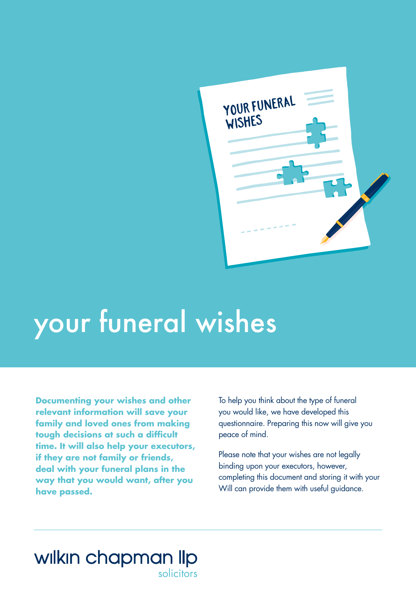

# your funeral wishes

**Documenting your wishes and other relevant information will save your family and loved ones from making tough decisions at such a difficult time. It will also help your executors, if they are not family or friends, deal with your funeral plans in the way that you would want, after you have passed.**

To help you think about the type of funeral you would like, we have developed this questionnaire. Preparing this now will give you peace of mind.

Please note that your wishes are not legally binding upon your executors, however, completing this document and storing it with your Will can provide them with useful guidance.

## wilkin chapman lip

solicitors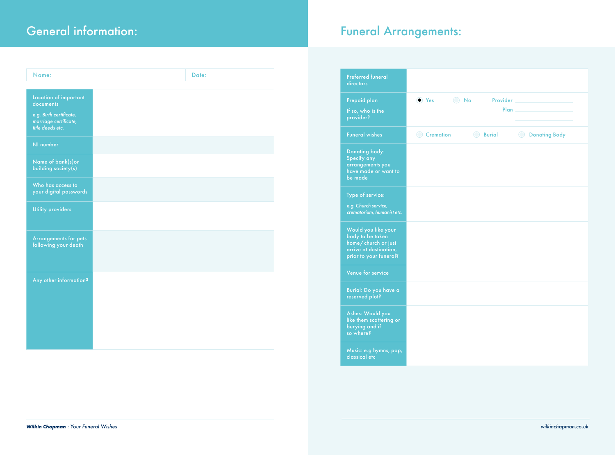| Name:                                                                | Date: |
|----------------------------------------------------------------------|-------|
|                                                                      |       |
| Location of important<br>documents                                   |       |
| e.g. Birth certificate,<br>marriage certificate,<br>title deeds etc. |       |
| NI number                                                            |       |
| Name of bank(s) or<br>building society(s)                            |       |
| Who has access to<br>your digital passwords                          |       |
| <b>Utility providers</b>                                             |       |
| Arrangements for pets<br>following your death                        |       |
| Any other information?                                               |       |
|                                                                      |       |
|                                                                      |       |
|                                                                      |       |
|                                                                      |       |

## General information: The Contraction of the Contraction of the Funeral Arrangements:

| <b>Preferred funeral</b><br>directors                                                                              |                                |                                                                                                                                               |
|--------------------------------------------------------------------------------------------------------------------|--------------------------------|-----------------------------------------------------------------------------------------------------------------------------------------------|
| Prepaid plan<br>If so, who is the<br>provider?                                                                     | $\bigcirc$ No<br>$\bullet$ Yes | <b>Provider Example 2019</b><br>Plan and the state of the state of the state of the state of the state of the state of the state of the state |
| <b>Funeral wishes</b>                                                                                              | <b>Burial</b><br>Cremation     | <b>O</b> Donating Body                                                                                                                        |
| <b>Donating body:</b><br>Specify any<br>arrangements you<br>have made or want to<br>be made                        |                                |                                                                                                                                               |
| Type of service:<br>e.g. Church service,<br>crematorium, humanist etc.                                             |                                |                                                                                                                                               |
| Would you like your<br>body to be taken<br>home/church or just<br>arrive at destination,<br>prior to your funeral? |                                |                                                                                                                                               |
| Venue for service                                                                                                  |                                |                                                                                                                                               |
| Burial: Do you have a<br>reserved plot?                                                                            |                                |                                                                                                                                               |
| Ashes: Would you<br>like them scattering or<br>burying and if<br>so where?                                         |                                |                                                                                                                                               |
| Music: e.g hymns, pop,<br>classical etc                                                                            |                                |                                                                                                                                               |